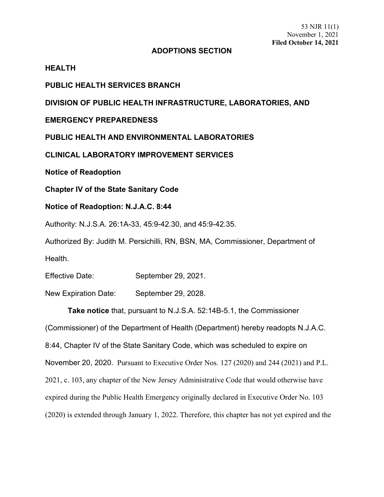#### **ADOPTIONS SECTION**

### **HEALTH**

# **PUBLIC HEALTH SERVICES BRANCH**

**DIVISION OF PUBLIC HEALTH INFRASTRUCTURE, LABORATORIES, AND** 

## **EMERGENCY PREPAREDNESS**

**PUBLIC HEALTH AND ENVIRONMENTAL LABORATORIES**

**CLINICAL LABORATORY IMPROVEMENT SERVICES**

**Notice of Readoption**

**Chapter IV of the State Sanitary Code**

### **Notice of Readoption: N.J.A.C. 8:44**

Authority: N.J.S.A. 26:1A-33, 45:9-42.30, and 45:9-42.35.

Authorized By: Judith M. Persichilli, RN, BSN, MA, Commissioner, Department of Health.

Effective Date: September 29, 2021.

New Expiration Date: September 29, 2028.

**Take notice** that, pursuant to N.J.S.A. 52:14B-5.1, the Commissioner

(Commissioner) of the Department of Health (Department) hereby readopts N.J.A.C. 8:44, Chapter IV of the State Sanitary Code, which was scheduled to expire on November 20, 2020. Pursuant to Executive Order Nos. 127 (2020) and 244 (2021) and P.L. 2021, c. 103, any chapter of the New Jersey Administrative Code that would otherwise have expired during the Public Health Emergency originally declared in Executive Order No. 103 (2020) is extended through January 1, 2022. Therefore, this chapter has not yet expired and the